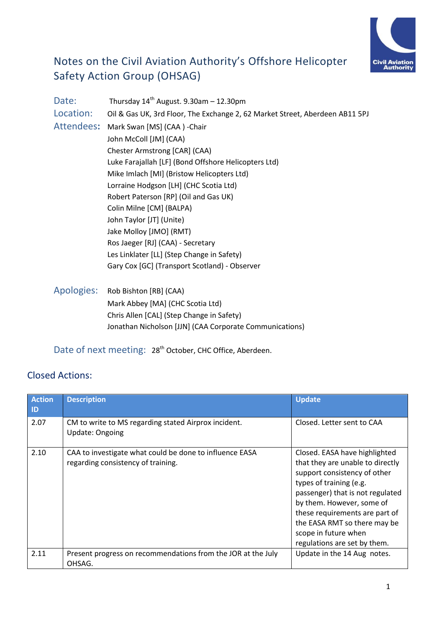

# Notes on the Civil Aviation Authority's Offshore Helicopter Safety Action Group (OHSAG)

| Date:      | Thursday $14^{th}$ August. 9.30am - 12.30pm                                  |
|------------|------------------------------------------------------------------------------|
| Location:  | Oil & Gas UK, 3rd Floor, The Exchange 2, 62 Market Street, Aberdeen AB11 5PJ |
| Attendees: | Mark Swan [MS] (CAA) - Chair                                                 |
|            | John McColl [JM] (CAA)                                                       |
|            | Chester Armstrong [CAR] (CAA)                                                |
|            | Luke Farajallah [LF] (Bond Offshore Helicopters Ltd)                         |
|            | Mike Imlach [MI] (Bristow Helicopters Ltd)                                   |
|            | Lorraine Hodgson [LH] (CHC Scotia Ltd)                                       |
|            | Robert Paterson [RP] (Oil and Gas UK)                                        |
|            | Colin Milne [CM] (BALPA)                                                     |
|            | John Taylor [JT] (Unite)                                                     |
|            | Jake Molloy [JMO] (RMT)                                                      |
|            | Ros Jaeger [RJ] (CAA) - Secretary                                            |
|            | Les Linklater [LL] (Step Change in Safety)                                   |
|            | Gary Cox [GC] (Transport Scotland) - Observer                                |
|            |                                                                              |
| Apologies: | Rob Bishton [RB] (CAA)                                                       |
|            | Mark Abbey [MA] (CHC Scotia Ltd)                                             |
|            | Chris Allen [CAL] (Step Change in Safety)                                    |

Jonathan Nicholson [JJN] (CAA Corporate Communications)

Date of next meeting: 28<sup>th</sup> October, CHC Office, Aberdeen.

# Closed Actions:

| <b>Action</b><br>ID | <b>Description</b>                                                                            | <b>Update</b>                                                                                                                                                                                                                                                                                                           |
|---------------------|-----------------------------------------------------------------------------------------------|-------------------------------------------------------------------------------------------------------------------------------------------------------------------------------------------------------------------------------------------------------------------------------------------------------------------------|
| 2.07                | CM to write to MS regarding stated Airprox incident.<br><b>Update: Ongoing</b>                | Closed. Letter sent to CAA                                                                                                                                                                                                                                                                                              |
| 2.10                | CAA to investigate what could be done to influence EASA<br>regarding consistency of training. | Closed. EASA have highlighted<br>that they are unable to directly<br>support consistency of other<br>types of training (e.g.<br>passenger) that is not regulated<br>by them. However, some of<br>these requirements are part of<br>the EASA RMT so there may be<br>scope in future when<br>regulations are set by them. |
| 2.11                | Present progress on recommendations from the JOR at the July<br>OHSAG.                        | Update in the 14 Aug notes.                                                                                                                                                                                                                                                                                             |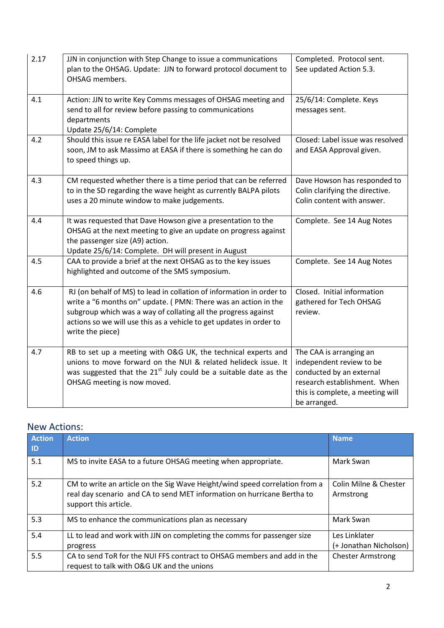| 2.17 | JJN in conjunction with Step Change to issue a communications<br>plan to the OHSAG. Update: JJN to forward protocol document to<br>OHSAG members.                                                                                                                                                   | Completed. Protocol sent.<br>See updated Action 5.3.                                                                                                                |
|------|-----------------------------------------------------------------------------------------------------------------------------------------------------------------------------------------------------------------------------------------------------------------------------------------------------|---------------------------------------------------------------------------------------------------------------------------------------------------------------------|
| 4.1  | Action: JJN to write Key Comms messages of OHSAG meeting and<br>send to all for review before passing to communications<br>departments<br>Update 25/6/14: Complete                                                                                                                                  | 25/6/14: Complete. Keys<br>messages sent.                                                                                                                           |
| 4.2  | Should this issue re EASA label for the life jacket not be resolved<br>soon, JM to ask Massimo at EASA if there is something he can do<br>to speed things up.                                                                                                                                       | Closed: Label issue was resolved<br>and EASA Approval given.                                                                                                        |
| 4.3  | CM requested whether there is a time period that can be referred<br>to in the SD regarding the wave height as currently BALPA pilots<br>uses a 20 minute window to make judgements.                                                                                                                 | Dave Howson has responded to<br>Colin clarifying the directive.<br>Colin content with answer.                                                                       |
| 4.4  | It was requested that Dave Howson give a presentation to the<br>OHSAG at the next meeting to give an update on progress against<br>the passenger size (A9) action.<br>Update 25/6/14: Complete. DH will present in August                                                                           | Complete. See 14 Aug Notes                                                                                                                                          |
| 4.5  | CAA to provide a brief at the next OHSAG as to the key issues<br>highlighted and outcome of the SMS symposium.                                                                                                                                                                                      | Complete. See 14 Aug Notes                                                                                                                                          |
| 4.6  | RJ (on behalf of MS) to lead in collation of information in order to<br>write a "6 months on" update. (PMN: There was an action in the<br>subgroup which was a way of collating all the progress against<br>actions so we will use this as a vehicle to get updates in order to<br>write the piece) | Closed. Initial information<br>gathered for Tech OHSAG<br>review.                                                                                                   |
| 4.7  | RB to set up a meeting with O&G UK, the technical experts and<br>unions to move forward on the NUI & related helideck issue. It<br>was suggested that the $21^{st}$ July could be a suitable date as the<br>OHSAG meeting is now moved.                                                             | The CAA is arranging an<br>independent review to be<br>conducted by an external<br>research establishment. When<br>this is complete, a meeting will<br>be arranged. |

# New Actions:

| <b>Action</b><br>ID | <b>Action</b>                                                                                                                                                                   | <b>Name</b>                             |
|---------------------|---------------------------------------------------------------------------------------------------------------------------------------------------------------------------------|-----------------------------------------|
| 5.1                 | MS to invite EASA to a future OHSAG meeting when appropriate.                                                                                                                   | Mark Swan                               |
| 5.2                 | CM to write an article on the Sig Wave Height/wind speed correlation from a<br>real day scenario and CA to send MET information on hurricane Bertha to<br>support this article. | Colin Milne & Chester<br>Armstrong      |
| 5.3                 | MS to enhance the communications plan as necessary                                                                                                                              | Mark Swan                               |
| 5.4                 | LL to lead and work with JJN on completing the comms for passenger size<br>progress                                                                                             | Les Linklater<br>(+ Jonathan Nicholson) |
| 5.5                 | CA to send ToR for the NUI FFS contract to OHSAG members and add in the<br>request to talk with O&G UK and the unions                                                           | <b>Chester Armstrong</b>                |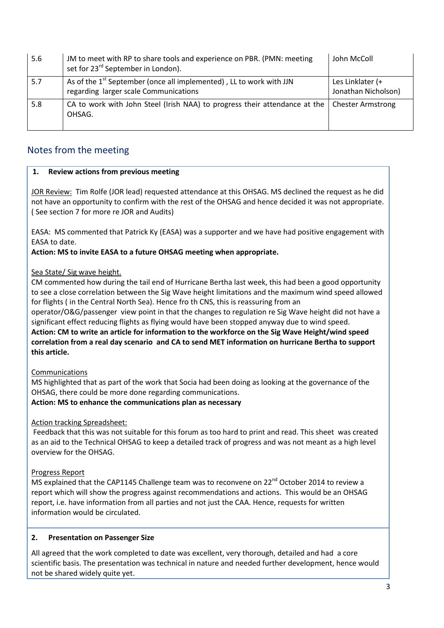| 5.6 | JM to meet with RP to share tools and experience on PBR. (PMN: meeting<br>set for 23 <sup>rd</sup> September in London). | John McColl                             |
|-----|--------------------------------------------------------------------------------------------------------------------------|-----------------------------------------|
| 5.7 | As of the 1 <sup>st</sup> September (once all implemented), LL to work with JJN<br>regarding larger scale Communications | Les Linklater (+<br>Jonathan Nicholson) |
| 5.8 | CA to work with John Steel (Irish NAA) to progress their attendance at the<br>OHSAG.                                     | <b>Chester Armstrong</b>                |

# Notes from the meeting

# **1. Review actions from previous meeting**

JOR Review: Tim Rolfe (JOR lead) requested attendance at this OHSAG. MS declined the request as he did not have an opportunity to confirm with the rest of the OHSAG and hence decided it was not appropriate. ( See section 7 for more re JOR and Audits)

EASA: MS commented that Patrick Ky (EASA) was a supporter and we have had positive engagement with EASA to date.

**Action: MS to invite EASA to a future OHSAG meeting when appropriate.** 

# Sea State/ Sig wave height.

CM commented how during the tail end of Hurricane Bertha last week, this had been a good opportunity to see a close correlation between the Sig Wave height limitations and the maximum wind speed allowed for flights ( in the Central North Sea). Hence fro th CNS, this is reassuring from an

operator/O&G/passenger view point in that the changes to regulation re Sig Wave height did not have a significant effect reducing flights as flying would have been stopped anyway due to wind speed.

**Action: CM to write an article for information to the workforce on the Sig Wave Height/wind speed correlation from a real day scenario and CA to send MET information on hurricane Bertha to support this article.** 

### Communications

MS highlighted that as part of the work that Socia had been doing as looking at the governance of the OHSAG, there could be more done regarding communications.

**Action: MS to enhance the communications plan as necessary** 

### Action tracking Spreadsheet:

Feedback that this was not suitable for this forum as too hard to print and read. This sheet was created as an aid to the Technical OHSAG to keep a detailed track of progress and was not meant as a high level overview for the OHSAG.

### Progress Report

MS explained that the CAP1145 Challenge team was to reconvene on 22<sup>nd</sup> October 2014 to review a report which will show the progress against recommendations and actions. This would be an OHSAG report, i.e. have information from all parties and not just the CAA. Hence, requests for written information would be circulated.

### **2. Presentation on Passenger Size**

All agreed that the work completed to date was excellent, very thorough, detailed and had a core scientific basis. The presentation was technical in nature and needed further development, hence would not be shared widely quite yet.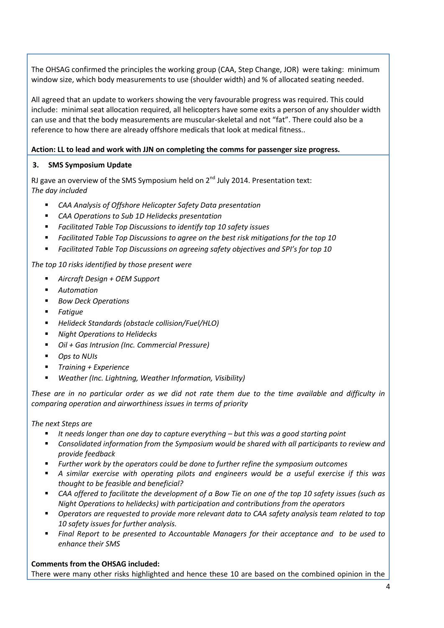The OHSAG confirmed the principles the working group (CAA, Step Change, JOR) were taking: minimum window size, which body measurements to use (shoulder width) and % of allocated seating needed.

All agreed that an update to workers showing the very favourable progress was required. This could include: minimal seat allocation required, all helicopters have some exits a person of any shoulder width can use and that the body measurements are muscular-skeletal and not "fat". There could also be a reference to how there are already offshore medicals that look at medical fitness..

# **Action: LL to lead and work with JJN on completing the comms for passenger size progress.**

# **3. SMS Symposium Update**

RJ gave an overview of the SMS Symposium held on  $2^{nd}$  July 2014. Presentation text: *The day included*

- *CAA Analysis of Offshore Helicopter Safety Data presentation*
- *CAA Operations to Sub 1D Helidecks presentation*
- *Facilitated Table Top Discussions to identify top 10 safety issues*
- *Facilitated Table Top Discussions to agree on the best risk mitigations for the top 10*
- *Facilitated Table Top Discussions on agreeing safety objectives and SPI's for top 10*

### *The top 10 risks identified by those present were*

- *Aircraft Design + OEM Support*
- *Automation*
- *Bow Deck Operations*
- *Fatigue*
- *Helideck Standards (obstacle collision/Fuel/HLO)*
- *Night Operations to Helidecks*
- *Oil + Gas Intrusion (Inc. Commercial Pressure)*
- *Ops to NUIs*
- *Training + Experience*
- *Weather (Inc. Lightning, Weather Information, Visibility)*

*These are in no particular order as we did not rate them due to the time available and difficulty in comparing operation and airworthiness issues in terms of priority*

*The next Steps are*

- It needs longer than one day to capture everything but this was a good starting point
- *Consolidated information from the Symposium would be shared with all participants to review and provide feedback*
- *Further work by the operators could be done to further refine the symposium outcomes*
- *A similar exercise with operating pilots and engineers would be a useful exercise if this was thought to be feasible and beneficial?*
- *CAA offered to facilitate the development of a Bow Tie on one of the top 10 safety issues (such as Night Operations to helidecks) with participation and contributions from the operators*
- *Operators are requested to provide more relevant data to CAA safety analysis team related to top 10 safety issues for further analysis.*
- *Final Report to be presented to Accountable Managers for their acceptance and to be used to enhance their SMS*

### **Comments from the OHSAG included:**

There were many other risks highlighted and hence these 10 are based on the combined opinion in the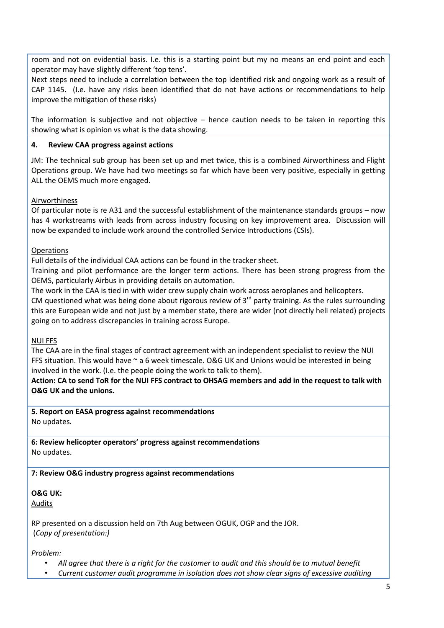room and not on evidential basis. I.e. this is a starting point but my no means an end point and each operator may have slightly different 'top tens'.

Next steps need to include a correlation between the top identified risk and ongoing work as a result of CAP 1145. (I.e. have any risks been identified that do not have actions or recommendations to help improve the mitigation of these risks)

The information is subjective and not objective – hence caution needs to be taken in reporting this showing what is opinion vs what is the data showing.

# **4. Review CAA progress against actions**

JM: The technical sub group has been set up and met twice, this is a combined Airworthiness and Flight Operations group. We have had two meetings so far which have been very positive, especially in getting ALL the OEMS much more engaged.

# Airworthiness

Of particular note is re A31 and the successful establishment of the maintenance standards groups – now has 4 workstreams with leads from across industry focusing on key improvement area. Discussion will now be expanded to include work around the controlled Service Introductions (CSIs).

# **Operations**

Full details of the individual CAA actions can be found in the tracker sheet.

Training and pilot performance are the longer term actions. There has been strong progress from the OEMS, particularly Airbus in providing details on automation.

The work in the CAA is tied in with wider crew supply chain work across aeroplanes and helicopters.

CM questioned what was being done about rigorous review of  $3<sup>rd</sup>$  party training. As the rules surrounding this are European wide and not just by a member state, there are wider (not directly heli related) projects going on to address discrepancies in training across Europe.

### NUI FFS

The CAA are in the final stages of contract agreement with an independent specialist to review the NUI FFS situation. This would have ~ a 6 week timescale. O&G UK and Unions would be interested in being involved in the work. (I.e. the people doing the work to talk to them).

**Action: CA to send ToR for the NUI FFS contract to OHSAG members and add in the request to talk with O&G UK and the unions.** 

**5. Report on EASA progress against recommendations**  No updates.

**6: Review helicopter operators' progress against recommendations** No updates.

# **7: Review O&G industry progress against recommendations**

#### **O&G UK:**  Audits

RP presented on a discussion held on 7th Aug between OGUK, OGP and the JOR. (*Copy of presentation:)* 

*Problem:*

- *All agree that there is a right for the customer to audit and this should be to mutual benefit*
- *Current customer audit programme in isolation does not show clear signs of excessive auditing*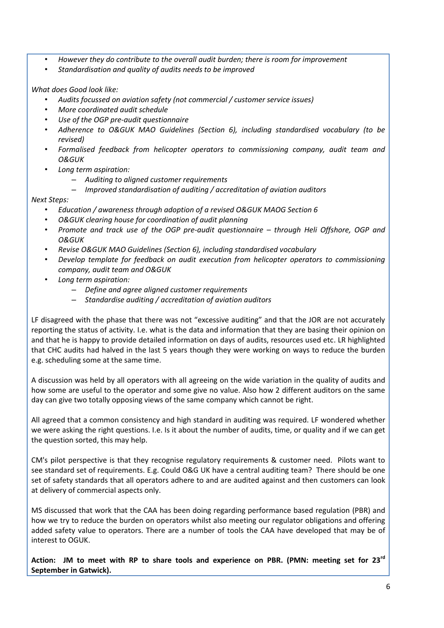- *However they do contribute to the overall audit burden; there is room for improvement*
- *Standardisation and quality of audits needs to be improved*

### *What does Good look like:*

- *Audits focussed on aviation safety (not commercial / customer service issues)*
- *More coordinated audit schedule*
- *Use of the OGP pre-audit questionnaire*
- *Adherence to O&GUK MAO Guidelines (Section 6), including standardised vocabulary (to be revised)*
- *Formalised feedback from helicopter operators to commissioning company, audit team and O&GUK*
- *Long term aspiration:*
	- *Auditing to aligned customer requirements*
	- *Improved standardisation of auditing / accreditation of aviation auditors*

# *Next Steps:*

- *Education / awareness through adoption of a revised O&GUK MAOG Section 6*
- *O&GUK clearing house for coordination of audit planning*
- *Promote and track use of the OGP pre-audit questionnaire – through Heli Offshore, OGP and O&GUK*
- *Revise O&GUK MAO Guidelines (Section 6), including standardised vocabulary*
- *Develop template for feedback on audit execution from helicopter operators to commissioning company, audit team and O&GUK*
- *Long term aspiration:*
	- *Define and agree aligned customer requirements*
	- *Standardise auditing / accreditation of aviation auditors*

LF disagreed with the phase that there was not "excessive auditing" and that the JOR are not accurately reporting the status of activity. I.e. what is the data and information that they are basing their opinion on and that he is happy to provide detailed information on days of audits, resources used etc. LR highlighted that CHC audits had halved in the last 5 years though they were working on ways to reduce the burden e.g. scheduling some at the same time.

A discussion was held by all operators with all agreeing on the wide variation in the quality of audits and how some are useful to the operator and some give no value. Also how 2 different auditors on the same day can give two totally opposing views of the same company which cannot be right.

All agreed that a common consistency and high standard in auditing was required. LF wondered whether we were asking the right questions. I.e. Is it about the number of audits, time, or quality and if we can get the question sorted, this may help.

CM's pilot perspective is that they recognise regulatory requirements & customer need. Pilots want to see standard set of requirements. E.g. Could O&G UK have a central auditing team? There should be one set of safety standards that all operators adhere to and are audited against and then customers can look at delivery of commercial aspects only.

MS discussed that work that the CAA has been doing regarding performance based regulation (PBR) and how we try to reduce the burden on operators whilst also meeting our regulator obligations and offering added safety value to operators. There are a number of tools the CAA have developed that may be of interest to OGUK.

**Action: JM to meet with RP to share tools and experience on PBR. (PMN: meeting set for 23rd September in Gatwick).**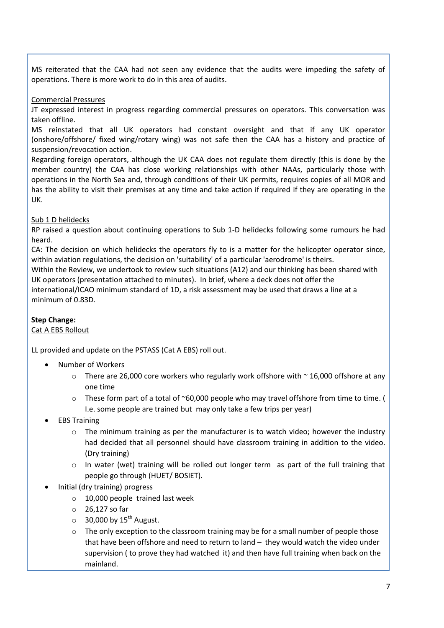MS reiterated that the CAA had not seen any evidence that the audits were impeding the safety of operations. There is more work to do in this area of audits.

#### Commercial Pressures

JT expressed interest in progress regarding commercial pressures on operators. This conversation was taken offline.

MS reinstated that all UK operators had constant oversight and that if any UK operator (onshore/offshore/ fixed wing/rotary wing) was not safe then the CAA has a history and practice of suspension/revocation action.

Regarding foreign operators, although the UK CAA does not regulate them directly (this is done by the member country) the CAA has close working relationships with other NAAs, particularly those with operations in the North Sea and, through conditions of their UK permits, requires copies of all MOR and has the ability to visit their premises at any time and take action if required if they are operating in the UK.

### Sub 1 D helidecks

RP raised a question about continuing operations to Sub 1-D helidecks following some rumours he had heard.

CA: The decision on which helidecks the operators fly to is a matter for the helicopter operator since, within aviation regulations, the decision on 'suitability' of a particular 'aerodrome' is theirs.

Within the Review, we undertook to review such situations (A12) and our thinking has been shared with UK operators (presentation attached to minutes). In brief, where a deck does not offer the international/ICAO minimum standard of 1D, a risk assessment may be used that draws a line at a

# **Step Change:**

# Cat A EBS Rollout

minimum of 0.83D.

LL provided and update on the PSTASS (Cat A EBS) roll out.

- Number of Workers
	- $\circ$  There are 26,000 core workers who regularly work offshore with  $\sim$  16,000 offshore at any one time
	- $\circ$  These form part of a total of ~60,000 people who may travel offshore from time to time. ( I.e. some people are trained but may only take a few trips per year)
- EBS Training
	- $\circ$  The minimum training as per the manufacturer is to watch video; however the industry had decided that all personnel should have classroom training in addition to the video. (Dry training)
	- o In water (wet) training will be rolled out longer term as part of the full training that people go through (HUET/ BOSIET).
- Initial (dry training) progress
	- o 10,000 people trained last week
	- o 26,127 so far
	- $\circ$  30,000 by 15<sup>th</sup> August.
	- o The only exception to the classroom training may be for a small number of people those that have been offshore and need to return to land – they would watch the video under supervision ( to prove they had watched it) and then have full training when back on the mainland.